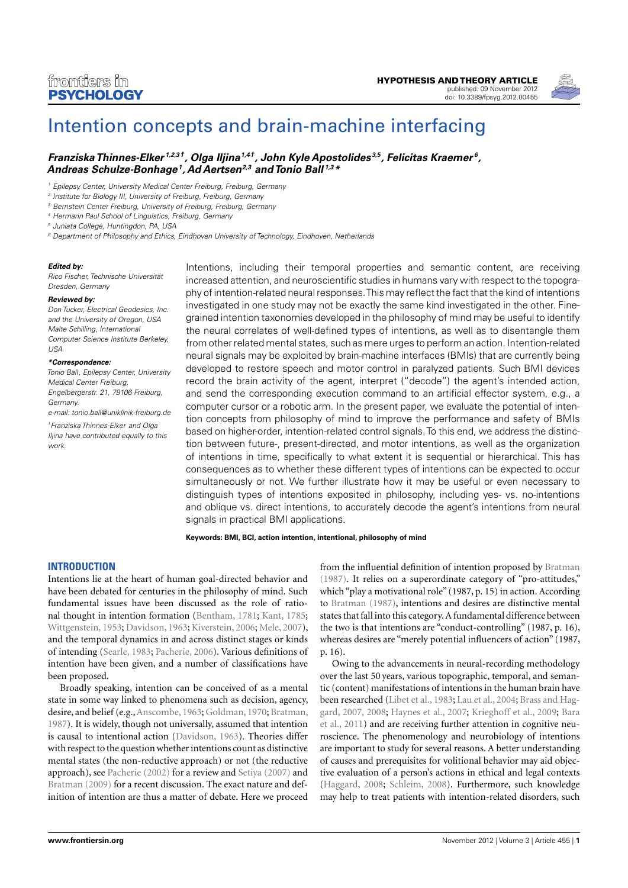

# [Intention concepts and brain-machine interfacing](http://www.frontiersin.org/Cognition/10.3389/fpsyg.2012.00455/abstract)

# *[Franziska Thinnes-Elker](http://www.frontiersin.org/Community/WhosWhoActivity.aspx?sname=FranziskaThinnes-Elker&UID=65072) 1,2,3†, [Olga Iljina1](http://www.frontiersin.org/Community/WhosWhoActivity.aspx?sname=OlgaIljina&UID=49521),4†, [John Kyle Apostolides](http://www.frontiersin.org/Community/WhosWhoActivity.aspx?sname=JohnApostolides&UID=63750) 3,5, [Felicitas Kraemer](http://www.frontiersin.org/people/FelicitasKraemer/70533) 6, [Andreas Schulze-Bonhage1](http://www.frontiersin.org/Community/WhosWhoActivity.aspx?sname=AndreasSchulze_Bonhage&UID=7768), [Ad Aertsen2](http://www.frontiersin.org/people/adaertsen/1003),3 and [Tonio Ball](http://www.frontiersin.org/Community/WhosWhoActivity.aspx?sname=TonioBall&UID=21962) 1,3\**

*<sup>1</sup> Epilepsy Center, University Medical Center Freiburg, Freiburg, Germany*

*<sup>2</sup> Institute for Biology III, University of Freiburg, Freiburg, Germany*

*<sup>3</sup> Bernstein Center Freiburg, University of Freiburg, Freiburg, Germany*

*<sup>6</sup> Department of Philosophy and Ethics, Eindhoven University of Technology, Eindhoven, Netherlands*

#### *Edited by:*

*Rico Fischer, Technische Universität Dresden, Germany*

#### *Reviewed by:*

*Don Tucker, Electrical Geodesics, Inc. and the University of Oregon, USA Malte Schilling, International Computer Science Institute Berkeley, USA*

#### *\*Correspondence:*

*Tonio Ball, Epilepsy Center, University Medical Center Freiburg, Engelbergerstr. 21, 79106 Freiburg, Germany.*

*e-mail: [tonio.ball@uniklinik-freiburg.de](mailto:tonio.ball@uniklinik-freiburg.de)*

*†Franziska Thinnes-Elker and Olga Iljina have contributed equally to this work.*

Intentions, including their temporal properties and semantic content, are receiving increased attention, and neuroscientific studies in humans vary with respect to the topography of intention-related neural responses.This may reflect the fact that the kind of intentions investigated in one study may not be exactly the same kind investigated in the other. Finegrained intention taxonomies developed in the philosophy of mind may be useful to identify the neural correlates of well-defined types of intentions, as well as to disentangle them from other related mental states, such as mere urges to perform an action. Intention-related neural signals may be exploited by brain-machine interfaces (BMIs) that are currently being developed to restore speech and motor control in paralyzed patients. Such BMI devices record the brain activity of the agent, interpret ("decode") the agent's intended action, and send the corresponding execution command to an artificial effector system, e.g., a computer cursor or a robotic arm. In the present paper, we evaluate the potential of intention concepts from philosophy of mind to improve the performance and safety of BMIs based on higher-order, intention-related control signals.To this end, we address the distinction between future-, present-directed, and motor intentions, as well as the organization of intentions in time, specifically to what extent it is sequential or hierarchical. This has consequences as to whether these different types of intentions can be expected to occur simultaneously or not. We further illustrate how it may be useful or even necessary to distinguish types of intentions exposited in philosophy, including yes- vs. no-intentions and oblique vs. direct intentions, to accurately decode the agent's intentions from neural signals in practical BMI applications.

**Keywords: BMI, BCI, action intention, intentional, philosophy of mind**

# **INTRODUCTION**

Intentions lie at the heart of human goal-directed behavior and have been debated for centuries in the philosophy of mind. Such fundamental issues have been discussed as the role of rational thought in intention formation [\(Bentham, 1781;](#page-7-0) [Kant, 1785;](#page-8-0) [Wittgenstein, 1953;](#page-9-0) [Davidson, 1963;](#page-7-1) [Kiverstein, 2006;](#page-8-1) [Mele, 2007\)](#page-8-2), and the temporal dynamics in and across distinct stages or kinds of intending [\(Searle, 1983;](#page-9-1) [Pacherie, 2006\)](#page-8-3). Various definitions of intention have been given, and a number of classifications have been proposed.

Broadly speaking, intention can be conceived of as a mental state in some way linked to phenomena such as decision, agency, desire, and belief (e.g.,[Anscombe, 1963;](#page-7-2) [Goldman, 1970;](#page-8-4) [Bratman,](#page-7-3) [1987\)](#page-7-3). It is widely, though not universally, assumed that intention is causal to intentional action [\(Davidson, 1963\)](#page-7-1). Theories differ with respect to the question whether intentions count as distinctive mental states (the non-reductive approach) or not (the reductive approach), see [Pacherie](#page-8-5) [\(2002\)](#page-8-5) for a review and [Setiya](#page-9-2) [\(2007\)](#page-9-2) and [Bratman](#page-7-4) [\(2009\)](#page-7-4) for a recent discussion. The exact nature and definition of intention are thus a matter of debate. Here we proceed

from the influential definition of intention proposed by [Bratman](#page-7-3) [\(1987\)](#page-7-3). It relies on a superordinate category of "pro-attitudes," which "play a motivational role" (1987, p. 15) in action. According to [Bratman](#page-7-3) [\(1987\)](#page-7-3), intentions and desires are distinctive mental states that fall into this category. A fundamental difference between the two is that intentions are "conduct-controlling" (1987, p. 16), whereas desires are "merely potential influencers of action" (1987, p. 16).

Owing to the advancements in neural-recording methodology over the last 50 years, various topographic, temporal, and semantic (content) manifestations of intentions in the human brain have been researched [\(Libet et al., 1983;](#page-8-6) [Lau et al., 2004;](#page-8-7) [Brass and Hag](#page-7-5)[gard, 2007,](#page-7-5) [2008;](#page-7-6) [Haynes et al., 2007;](#page-8-8) [Krieghoff et al., 2009;](#page-8-9) [Bara](#page-7-7) [et al., 2011\)](#page-7-7) and are receiving further attention in cognitive neuroscience. The phenomenology and neurobiology of intentions are important to study for several reasons. A better understanding of causes and prerequisites for volitional behavior may aid objective evaluation of a person's actions in ethical and legal contexts [\(Haggard, 2008;](#page-8-10) [Schleim, 2008\)](#page-9-3). Furthermore, such knowledge may help to treat patients with intention-related disorders, such

*<sup>4</sup> Hermann Paul School of Linguistics, Freiburg, Germany*

*<sup>5</sup> Juniata College, Huntingdon, PA, USA*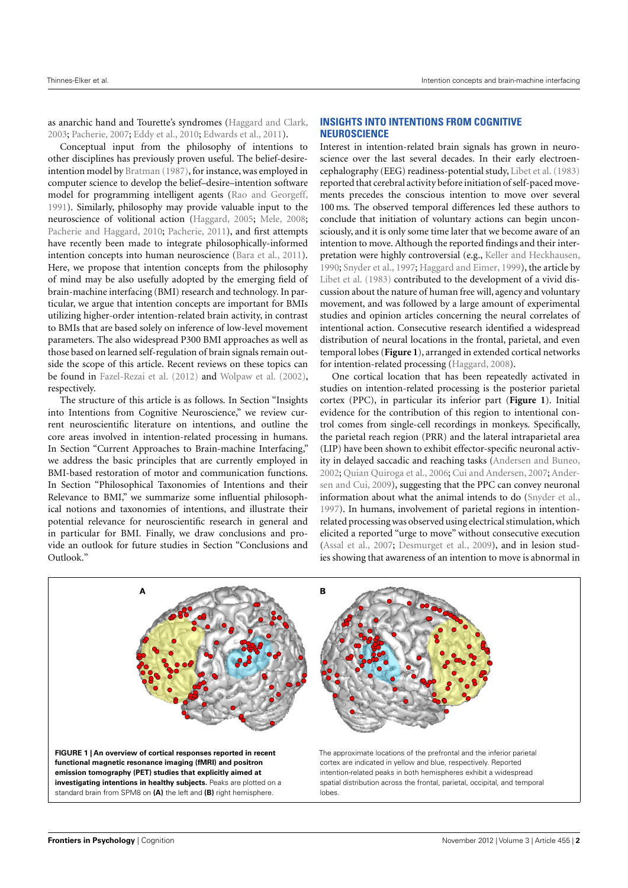as anarchic hand and Tourette's syndromes [\(Haggard and Clark,](#page-8-11) [2003;](#page-8-11) [Pacherie,](#page-8-12) [2007;](#page-8-12) [Eddy et al.,](#page-7-8) [2010;](#page-7-8) [Edwards et al.,](#page-7-9) [2011\)](#page-7-9).

Conceptual input from the philosophy of intentions to other disciplines has previously proven useful. The belief-desireintention model by [Bratman](#page-7-3) [\(1987\)](#page-7-3), for instance, was employed in computer science to develop the belief–desire–intention software model for programming intelligent agents [\(Rao and Georgeff,](#page-9-4) [1991\)](#page-9-4). Similarly, philosophy may provide valuable input to the neuroscience of volitional action [\(Haggard,](#page-8-13) [2005;](#page-8-13) [Mele,](#page-8-14) [2008;](#page-8-14) [Pacherie and Haggard,](#page-8-15) [2010;](#page-8-15) [Pacherie,](#page-8-16) [2011\)](#page-8-16), and first attempts have recently been made to integrate philosophically-informed intention concepts into human neuroscience [\(Bara et al.,](#page-7-7) [2011\)](#page-7-7). Here, we propose that intention concepts from the philosophy of mind may be also usefully adopted by the emerging field of brain-machine interfacing (BMI) research and technology. In particular, we argue that intention concepts are important for BMIs utilizing higher-order intention-related brain activity, in contrast to BMIs that are based solely on inference of low-level movement parameters. The also widespread P300 BMI approaches as well as those based on learned self-regulation of brain signals remain outside the scope of this article. Recent reviews on these topics can be found in [Fazel-Rezai et al.](#page-7-10) [\(2012\)](#page-7-10) and [Wolpaw et al.](#page-9-5) [\(2002\)](#page-9-5), respectively.

The structure of this article is as follows. In Section "Insights into Intentions from Cognitive Neuroscience," we review current neuroscientific literature on intentions, and outline the core areas involved in intention-related processing in humans. In Section "Current Approaches to Brain-machine Interfacing," we address the basic principles that are currently employed in BMI-based restoration of motor and communication functions. In Section "Philosophical Taxonomies of Intentions and their Relevance to BMI," we summarize some influential philosophical notions and taxonomies of intentions, and illustrate their potential relevance for neuroscientific research in general and in particular for BMI. Finally, we draw conclusions and provide an outlook for future studies in Section "Conclusions and Outlook."

## **INSIGHTS INTO INTENTIONS FROM COGNITIVE NEUROSCIENCE**

Interest in intention-related brain signals has grown in neuroscience over the last several decades. In their early electroencephalography (EEG) readiness-potential study, [Libet et al.](#page-8-6) [\(1983\)](#page-8-6) reported that cerebral activity before initiation of self-paced movements precedes the conscious intention to move over several 100 ms. The observed temporal differences led these authors to conclude that initiation of voluntary actions can begin unconsciously, and it is only some time later that we become aware of an intention to move. Although the reported findings and their interpretation were highly controversial (e.g., [Keller and Heckhausen,](#page-8-17) [1990;](#page-8-17) [Snyder et al.,](#page-9-6) [1997;](#page-9-6) [Haggard and Eimer,](#page-8-18) [1999\)](#page-8-18), the article by [Libet et al.](#page-8-6) [\(1983\)](#page-8-6) contributed to the development of a vivid discussion about the nature of human free will, agency and voluntary movement, and was followed by a large amount of experimental studies and opinion articles concerning the neural correlates of intentional action. Consecutive research identified a widespread distribution of neural locations in the frontal, parietal, and even temporal lobes (**[Figure 1](#page-1-0)**), arranged in extended cortical networks for intention-related processing [\(Haggard,](#page-8-10) [2008\)](#page-8-10).

One cortical location that has been repeatedly activated in studies on intention-related processing is the posterior parietal cortex (PPC), in particular its inferior part (**[Figure 1](#page-1-0)**). Initial evidence for the contribution of this region to intentional control comes from single-cell recordings in monkeys. Specifically, the parietal reach region (PRR) and the lateral intraparietal area (LIP) have been shown to exhibit effector-specific neuronal activity in delayed saccadic and reaching tasks [\(Andersen and Buneo,](#page-7-11) [2002;](#page-7-11) [Quian Quiroga et al.,](#page-9-7) [2006;](#page-9-7) [Cui and Andersen,](#page-7-12) [2007;](#page-7-12) [Ander](#page-7-13)[sen and Cui,](#page-7-13) [2009\)](#page-7-13), suggesting that the PPC can convey neuronal information about what the animal intends to do [\(Snyder et al.,](#page-9-6) [1997\)](#page-9-6). In humans, involvement of parietal regions in intentionrelated processing was observed using electrical stimulation,which elicited a reported "urge to move" without consecutive execution [\(Assal et al.,](#page-7-14) [2007;](#page-7-14) [Desmurget et al.,](#page-7-15) [2009\)](#page-7-15), and in lesion studies showing that awareness of an intention to move is abnormal in

<span id="page-1-0"></span>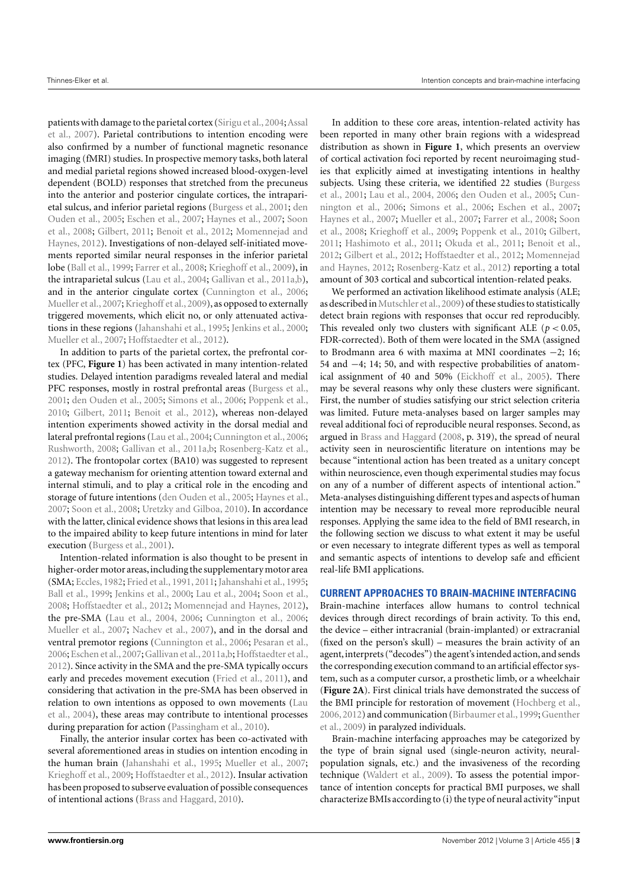patients with damage to the parietal cortex (Sirigu et al., 2004; [Assal](#page-7-14) [et al.,](#page-7-14) [2007\)](#page-7-14). Parietal contributions to intention encoding were also confirmed by a number of functional magnetic resonance imaging (fMRI) studies. In prospective memory tasks, both lateral and medial parietal regions showed increased blood-oxygen-level dependent (BOLD) responses that stretched from the precuneus into the anterior and posterior cingulate cortices, the intraparietal sulcus, and inferior parietal regions [\(Burgess et al.,](#page-7-16) [2001;](#page-7-16) [den](#page-7-17) [Ouden et al.,](#page-7-17) [2005;](#page-7-17) [Eschen et al.,](#page-7-18) [2007;](#page-7-18) [Haynes et al.,](#page-8-8) [2007;](#page-8-8) [Soon](#page-9-9) [et al.,](#page-9-9) [2008;](#page-9-9) [Gilbert,](#page-8-19) [2011;](#page-8-19) [Benoit et al.,](#page-7-19) [2012;](#page-7-19) [Momennejad and](#page-8-20) [Haynes,](#page-8-20) [2012\)](#page-8-20). Investigations of non-delayed self-initiated movements reported similar neural responses in the inferior parietal lobe [\(Ball et al.,](#page-7-20) [1999;](#page-7-20) [Farrer et al.,](#page-7-21) [2008;](#page-7-21) [Krieghoff et al.,](#page-8-9) [2009\)](#page-8-9), in the intraparietal sulcus [\(Lau et al.,](#page-8-7) [2004;](#page-8-7) [Gallivan et al.,](#page-7-22) [2011a,](#page-7-22)[b\)](#page-8-21), and in the anterior cingulate cortex [\(Cunnington et al.,](#page-7-23) [2006;](#page-7-23) [Mueller et al.,](#page-8-22) [2007;](#page-8-22) [Krieghoff et al.,](#page-8-9) [2009\)](#page-8-9), as opposed to externally triggered movements, which elicit no, or only attenuated activations in these regions [\(Jahanshahi et al.,](#page-8-23) [1995;](#page-8-23) [Jenkins et al.,](#page-8-24) [2000;](#page-8-24) [Mueller et al.,](#page-8-22) [2007;](#page-8-22) [Hoffstaedter et al.,](#page-8-25) [2012\)](#page-8-25).

In addition to parts of the parietal cortex, the prefrontal cortex (PFC, **[Figure 1](#page-1-0)**) has been activated in many intention-related studies. Delayed intention paradigms revealed lateral and medial PFC responses, mostly in rostral prefrontal areas [\(Burgess et al.,](#page-7-16) [2001;](#page-7-16) [den Ouden et al.,](#page-7-17) [2005;](#page-7-17) [Simons et al.,](#page-9-10) [2006;](#page-9-10) [Poppenk et al.,](#page-9-11) [2010;](#page-9-11) [Gilbert,](#page-8-19) [2011;](#page-8-19) [Benoit et al.,](#page-7-19) [2012\)](#page-7-19), whereas non-delayed intention experiments showed activity in the dorsal medial and lateral prefrontal regions [\(Lau et al.,](#page-8-7) [2004;](#page-8-7) [Cunnington et al.,](#page-7-23) [2006;](#page-7-23) [Rushworth,](#page-9-12) [2008;](#page-9-12) [Gallivan et al.,](#page-7-22) [2011a](#page-7-22)[,b;](#page-8-21) [Rosenberg-Katz et al.,](#page-9-13) [2012\)](#page-9-13). The frontopolar cortex (BA10) was suggested to represent a gateway mechanism for orienting attention toward external and internal stimuli, and to play a critical role in the encoding and storage of future intentions [\(den Ouden et al.,](#page-7-17) [2005;](#page-7-17) [Haynes et al.,](#page-8-8) [2007;](#page-8-8) [Soon et al.,](#page-9-9) [2008;](#page-9-9) [Uretzky and Gilboa,](#page-9-14) [2010\)](#page-9-14). In accordance with the latter, clinical evidence shows that lesions in this area lead to the impaired ability to keep future intentions in mind for later execution [\(Burgess et al.,](#page-7-16) [2001\)](#page-7-16).

Intention-related information is also thought to be present in higher-order motor areas, including the supplementary motor area (SMA; [Eccles,](#page-7-24) [1982;](#page-7-24) [Fried et al.,](#page-7-25) [1991,](#page-7-25) [2011;](#page-7-26) [Jahanshahi et al.,](#page-8-23) [1995;](#page-8-23) [Ball et al.,](#page-7-20) [1999;](#page-7-20) [Jenkins et al.,](#page-8-24) [2000;](#page-8-24) [Lau et al.,](#page-8-7) [2004;](#page-8-7) [Soon et al.,](#page-9-9) [2008;](#page-9-9) [Hoffstaedter et al.,](#page-8-25) [2012;](#page-8-25) [Momennejad and Haynes,](#page-8-20) [2012\)](#page-8-20), the pre-SMA [\(Lau et al.,](#page-8-7) [2004,](#page-8-7) [2006;](#page-8-26) [Cunnington et al.,](#page-7-23) [2006;](#page-7-23) [Mueller et al.,](#page-8-22) [2007;](#page-8-22) [Nachev et al.,](#page-8-27) [2007\)](#page-8-27), and in the dorsal and ventral premotor regions [\(Cunnington et al.,](#page-7-23) [2006;](#page-7-23) [Pesaran et al.,](#page-8-28) [2006;](#page-8-28) [Eschen et al.,](#page-7-18) [2007;](#page-7-18) [Gallivan et al.,](#page-7-22) [2011a,](#page-7-22)[b;](#page-8-21) [Hoffstaedter et al.,](#page-8-25) [2012\)](#page-8-25). Since activity in the SMA and the pre-SMA typically occurs early and precedes movement execution [\(Fried et al.,](#page-7-26) [2011\)](#page-7-26), and considering that activation in the pre-SMA has been observed in relation to own intentions as opposed to own movements [\(Lau](#page-8-7) [et al.,](#page-8-7) [2004\)](#page-8-7), these areas may contribute to intentional processes during preparation for action [\(Passingham et al.,](#page-8-29) [2010\)](#page-8-29).

Finally, the anterior insular cortex has been co-activated with several aforementioned areas in studies on intention encoding in the human brain [\(Jahanshahi et al.,](#page-8-23) [1995;](#page-8-23) [Mueller et al.,](#page-8-22) [2007;](#page-8-22) [Krieghoff et al.,](#page-8-9) [2009;](#page-8-9) [Hoffstaedter et al.,](#page-8-25) [2012\)](#page-8-25). Insular activation has been proposed to subserve evaluation of possible consequences of intentional actions [\(Brass and Haggard,](#page-7-27) [2010\)](#page-7-27).

In addition to these core areas, intention-related activity has been reported in many other brain regions with a widespread distribution as shown in **[Figure 1](#page-1-0)**, which presents an overview of cortical activation foci reported by recent neuroimaging studies that explicitly aimed at investigating intentions in healthy subjects. Using these criteria, we identified 22 studies [\(Burgess](#page-7-16) [et al.,](#page-7-16) [2001;](#page-7-16) [Lau et al.,](#page-8-7) [2004,](#page-8-7) [2006;](#page-8-26) [den Ouden et al.,](#page-7-17) [2005;](#page-7-17) [Cun](#page-7-23)[nington et al.,](#page-7-23) [2006;](#page-7-23) [Simons et al.,](#page-9-10) [2006;](#page-9-10) [Eschen et al.,](#page-7-18) [2007;](#page-7-18) [Haynes et al.,](#page-8-8) [2007;](#page-8-8) [Mueller et al.,](#page-8-22) [2007;](#page-8-22) [Farrer et al.,](#page-7-21) [2008;](#page-7-21) [Soon](#page-9-9) [et al.,](#page-9-9) [2008;](#page-9-9) [Krieghoff et al.,](#page-8-9) [2009;](#page-8-9) [Poppenk et al.,](#page-9-11) [2010;](#page-9-11) [Gilbert,](#page-8-19) [2011;](#page-8-19) [Hashimoto et al.,](#page-8-30) [2011;](#page-8-30) [Okuda et al.,](#page-8-31) [2011;](#page-8-31) [Benoit et al.,](#page-7-19) [2012;](#page-7-19) [Gilbert et al.,](#page-8-32) [2012;](#page-8-32) [Hoffstaedter et al.,](#page-8-25) [2012;](#page-8-25) [Momennejad](#page-8-20) [and Haynes,](#page-8-20) [2012;](#page-8-20) [Rosenberg-Katz et al.,](#page-9-13) [2012\)](#page-9-13) reporting a total amount of 303 cortical and subcortical intention-related peaks.

We performed an activation likelihood estimate analysis (ALE; as described in Mutschler et al., 2009) of these studies to statistically detect brain regions with responses that occur red reproducibly. This revealed only two clusters with significant ALE ( $p < 0.05$ , FDR-corrected). Both of them were located in the SMA (assigned to Brodmann area 6 with maxima at MNI coordinates −2; 16; 54 and −4; 14; 50, and with respective probabilities of anatomical assignment of 40 and 50% [\(Eickhoff et al.,](#page-7-28) [2005\)](#page-7-28). There may be several reasons why only these clusters were significant. First, the number of studies satisfying our strict selection criteria was limited. Future meta-analyses based on larger samples may reveal additional foci of reproducible neural responses. Second, as argued in [Brass and Haggard](#page-7-6) [\(2008,](#page-7-6) p. 319), the spread of neural activity seen in neuroscientific literature on intentions may be because "intentional action has been treated as a unitary concept within neuroscience, even though experimental studies may focus on any of a number of different aspects of intentional action." Meta-analyses distinguishing different types and aspects of human intention may be necessary to reveal more reproducible neural responses. Applying the same idea to the field of BMI research, in the following section we discuss to what extent it may be useful or even necessary to integrate different types as well as temporal and semantic aspects of intentions to develop safe and efficient real-life BMI applications.

### **CURRENT APPROACHES TO BRAIN-MACHINE INTERFACING**

Brain-machine interfaces allow humans to control technical devices through direct recordings of brain activity. To this end, the device – either intracranial (brain-implanted) or extracranial (fixed on the person's skull) – measures the brain activity of an agent, interprets ("decodes") the agent's intended action, and sends the corresponding execution command to an artificial effector system, such as a computer cursor, a prosthetic limb, or a wheelchair (**[Figure 2A](#page-3-0)**). First clinical trials have demonstrated the success of the BMI principle for restoration of movement [\(Hochberg et al.,](#page-8-34) [2006,](#page-8-34)[2012\)](#page-8-35) and communication [\(Birbaumer et al.,1999;](#page-7-29)[Guenther](#page-8-36) [et al.,](#page-8-36) [2009\)](#page-8-36) in paralyzed individuals.

Brain-machine interfacing approaches may be categorized by the type of brain signal used (single-neuron activity, neuralpopulation signals, etc.) and the invasiveness of the recording technique [\(Waldert et al.,](#page-9-15) [2009\)](#page-9-15). To assess the potential importance of intention concepts for practical BMI purposes, we shall characterize BMIs according to (i) the type of neural activity"input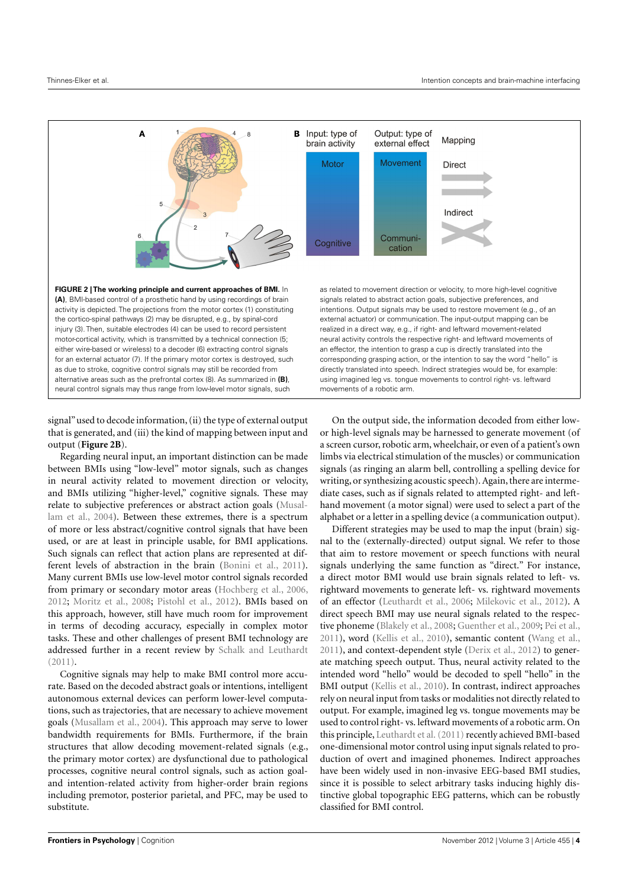

<span id="page-3-0"></span>signal" used to decode information, (ii) the type of external output that is generated, and (iii) the kind of mapping between input and output (**[Figure 2B](#page-3-0)**).

Regarding neural input, an important distinction can be made between BMIs using "low-level" motor signals, such as changes in neural activity related to movement direction or velocity, and BMIs utilizing "higher-level," cognitive signals. These may relate to subjective preferences or abstract action goals [\(Musal](#page-8-37)[lam et al.,](#page-8-37) [2004\)](#page-8-37). Between these extremes, there is a spectrum of more or less abstract/cognitive control signals that have been used, or are at least in principle usable, for BMI applications. Such signals can reflect that action plans are represented at different levels of abstraction in the brain [\(Bonini et al.,](#page-7-30) [2011\)](#page-7-30). Many current BMIs use low-level motor control signals recorded from primary or secondary motor areas [\(Hochberg et al.,](#page-8-34) [2006,](#page-8-34) [2012;](#page-8-35) [Moritz et al.,](#page-8-38) [2008;](#page-8-38) [Pistohl et al.,](#page-8-39) [2012\)](#page-8-39). BMIs based on this approach, however, still have much room for improvement in terms of decoding accuracy, especially in complex motor tasks. These and other challenges of present BMI technology are addressed further in a recent review by [Schalk and Leuthardt](#page-9-16) [\(2011\)](#page-9-16).

Cognitive signals may help to make BMI control more accurate. Based on the decoded abstract goals or intentions, intelligent autonomous external devices can perform lower-level computations, such as trajectories, that are necessary to achieve movement goals [\(Musallam et al.,](#page-8-37) [2004\)](#page-8-37). This approach may serve to lower bandwidth requirements for BMIs. Furthermore, if the brain structures that allow decoding movement-related signals (e.g., the primary motor cortex) are dysfunctional due to pathological processes, cognitive neural control signals, such as action goaland intention-related activity from higher-order brain regions including premotor, posterior parietal, and PFC, may be used to substitute.

On the output side, the information decoded from either lowor high-level signals may be harnessed to generate movement (of a screen cursor, robotic arm, wheelchair, or even of a patient's own limbs via electrical stimulation of the muscles) or communication signals (as ringing an alarm bell, controlling a spelling device for writing, or synthesizing acoustic speech). Again, there are intermediate cases, such as if signals related to attempted right- and lefthand movement (a motor signal) were used to select a part of the alphabet or a letter in a spelling device (a communication output).

Different strategies may be used to map the input (brain) signal to the (externally-directed) output signal. We refer to those that aim to restore movement or speech functions with neural signals underlying the same function as "direct." For instance, a direct motor BMI would use brain signals related to left- vs. rightward movements to generate left- vs. rightward movements of an effector [\(Leuthardt et al.,](#page-8-40) [2006;](#page-8-40) [Milekovic et al.,](#page-8-41) [2012\)](#page-8-41). A direct speech BMI may use neural signals related to the respective phoneme [\(Blakely et al.,](#page-7-31) [2008;](#page-7-31) [Guenther et al.,](#page-8-36) [2009;](#page-8-36) [Pei et al.,](#page-8-42) [2011\)](#page-8-42), word [\(Kellis et al.,](#page-8-43) [2010\)](#page-8-43), semantic content [\(Wang et al.,](#page-9-17) [2011\)](#page-9-17), and context-dependent style [\(Derix et al.,](#page-7-32) [2012\)](#page-7-32) to generate matching speech output. Thus, neural activity related to the intended word "hello" would be decoded to spell "hello" in the BMI output [\(Kellis et al.,](#page-8-43) [2010\)](#page-8-43). In contrast, indirect approaches rely on neural input from tasks or modalities not directly related to output. For example, imagined leg vs. tongue movements may be used to control right- vs. leftward movements of a robotic arm. On this principle, Leuthardt et al. (2011) recently achieved BMI-based one-dimensional motor control using input signals related to production of overt and imagined phonemes. Indirect approaches have been widely used in non-invasive EEG-based BMI studies, since it is possible to select arbitrary tasks inducing highly distinctive global topographic EEG patterns, which can be robustly classified for BMI control.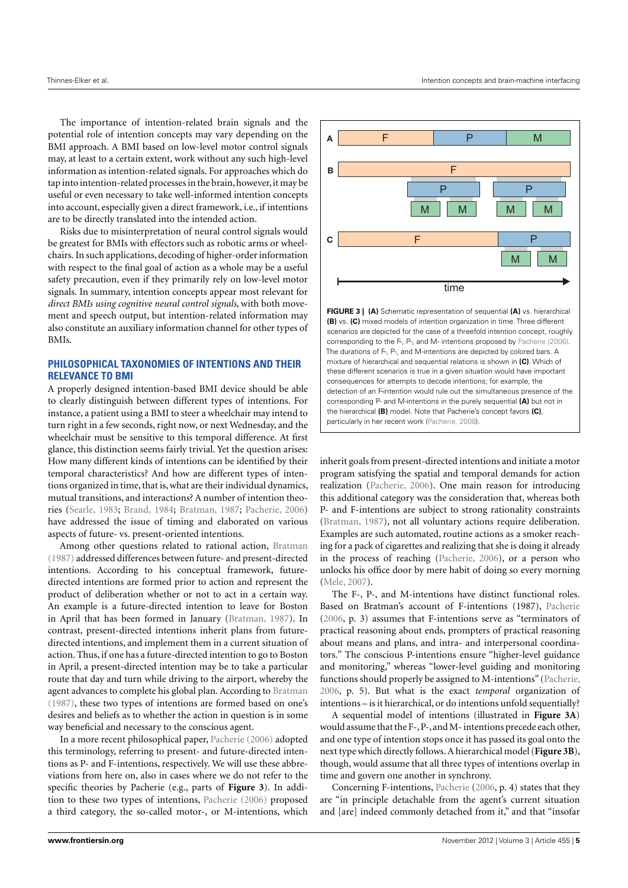The importance of intention-related brain signals and the potential role of intention concepts may vary depending on the BMI approach. A BMI based on low-level motor control signals may, at least to a certain extent, work without any such high-level information as intention-related signals. For approaches which do tap into intention-related processes in the brain, however,it may be useful or even necessary to take well-informed intention concepts into account, especially given a direct framework, i.e., if intentions are to be directly translated into the intended action.

Risks due to misinterpretation of neural control signals would be greatest for BMIs with effectors such as robotic arms or wheelchairs. In such applications, decoding of higher-order information with respect to the final goal of action as a whole may be a useful safety precaution, even if they primarily rely on low-level motor signals. In summary, intention concepts appear most relevant for *direct BMIs using cognitive neural control signals*, with both movement and speech output, but intention-related information may also constitute an auxiliary information channel for other types of BMIs.

# **PHILOSOPHICAL TAXONOMIES OF INTENTIONS AND THEIR RELEVANCE TO BMI**

A properly designed intention-based BMI device should be able to clearly distinguish between different types of intentions. For instance, a patient using a BMI to steer a wheelchair may intend to turn right in a few seconds, right now, or next Wednesday, and the wheelchair must be sensitive to this temporal difference. At first glance, this distinction seems fairly trivial. Yet the question arises: How many different kinds of intentions can be identified by their temporal characteristics? And how are different types of intentions organized in time, that is, what are their individual dynamics, mutual transitions, and interactions? A number of intention theories [\(Searle,](#page-9-1) [1983;](#page-9-1) [Brand,](#page-7-33) [1984;](#page-7-33) [Bratman,](#page-7-3) [1987;](#page-7-3) [Pacherie,](#page-8-3) [2006\)](#page-8-3) have addressed the issue of timing and elaborated on various aspects of future- vs. present-oriented intentions.

Among other questions related to rational action, [Bratman](#page-7-3) [\(1987\)](#page-7-3) addressed differences between future- and present-directed intentions. According to his conceptual framework, futuredirected intentions are formed prior to action and represent the product of deliberation whether or not to act in a certain way. An example is a future-directed intention to leave for Boston in April that has been formed in January [\(Bratman,](#page-7-3) [1987\)](#page-7-3). In contrast, present-directed intentions inherit plans from futuredirected intentions, and implement them in a current situation of action. Thus, if one has a future-directed intention to go to Boston in April, a present-directed intention may be to take a particular route that day and turn while driving to the airport, whereby the agent advances to complete his global plan. According to [Bratman](#page-7-3) [\(1987\)](#page-7-3), these two types of intentions are formed based on one's desires and beliefs as to whether the action in question is in some way beneficial and necessary to the conscious agent.

In a more recent philosophical paper, [Pacherie](#page-8-3) [\(2006\)](#page-8-3) adopted this terminology, referring to present- and future-directed intentions as P- and F-intentions, respectively. We will use these abbreviations from here on, also in cases where we do not refer to the specific theories by Pacherie (e.g., parts of **[Figure 3](#page-4-0)**). In addition to these two types of intentions, [Pacherie](#page-8-3) [\(2006\)](#page-8-3) proposed a third category, the so-called motor-, or M-intentions, which



<span id="page-4-0"></span>**FIGURE 3 | (A)** Schematic representation of sequential **(A)** vs. hierarchical **(B)** vs. **(C)** mixed models of intention organization in time. Three different scenarios are depicted for the case of a threefold intention concept, roughly corresponding to the F-, P-, and M- intentions proposed by [Pacherie](#page-8-3) [\(2006\)](#page-8-3). The durations of F-, P-, and M-intentions are depicted by colored bars. A mixture of hierarchical and sequential relations is shown in **(C)**. Which of these different scenarios is true in a given situation would have important consequences for attempts to decode intentions; for example, the detection of an F-intention would rule out the simultaneous presence of the corresponding P- and M-intentions in the purely sequential **(A)** but not in the hierarchical **(B)** model. Note that Pacherie's concept favors **(C)**, particularly in her recent work [\(Pacherie,](#page-8-45) [2008\)](#page-8-45).

inherit goals from present-directed intentions and initiate a motor program satisfying the spatial and temporal demands for action realization [\(Pacherie,](#page-8-3) [2006\)](#page-8-3). One main reason for introducing this additional category was the consideration that, whereas both P- and F-intentions are subject to strong rationality constraints [\(Bratman,](#page-7-3) [1987\)](#page-7-3), not all voluntary actions require deliberation. Examples are such automated, routine actions as a smoker reaching for a pack of cigarettes and realizing that she is doing it already in the process of reaching [\(Pacherie,](#page-8-3) [2006\)](#page-8-3), or a person who unlocks his office door by mere habit of doing so every morning [\(Mele,](#page-8-2) [2007\)](#page-8-2).

The F-, P-, and M-intentions have distinct functional roles. Based on Bratman's account of F-intentions (1987), [Pacherie](#page-8-3) [\(2006,](#page-8-3) p. 3) assumes that F-intentions serve as "terminators of practical reasoning about ends, prompters of practical reasoning about means and plans, and intra- and interpersonal coordinators." The conscious P-intentions ensure "higher-level guidance and monitoring," whereas "lower-level guiding and monitoring functions should properly be assigned to M-intentions" [\(Pacherie,](#page-8-3) [2006,](#page-8-3) p. 5). But what is the exact *temporal* organization of intentions – is it hierarchical, or do intentions unfold sequentially?

A sequential model of intentions (illustrated in **[Figure 3A](#page-4-0)**) would assume that the F-, P-, and M- intentions precede each other, and one type of intention stops once it has passed its goal onto the next type which directly follows. A hierarchical model (**[Figure 3B](#page-4-0)**), though, would assume that all three types of intentions overlap in time and govern one another in synchrony.

Concerning F-intentions, [Pacherie](#page-8-3) [\(2006,](#page-8-3) p. 4) states that they are "in principle detachable from the agent's current situation and [are] indeed commonly detached from it," and that "insofar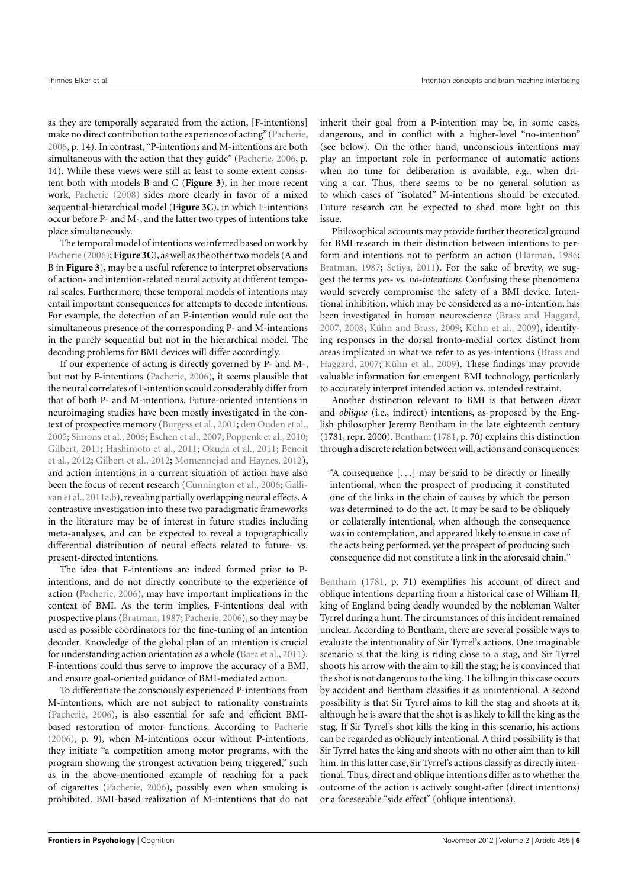as they are temporally separated from the action, [F-intentions] make no direct contribution to the experience of acting" [\(Pacherie,](#page-8-3) [2006,](#page-8-3) p. 14). In contrast, "P-intentions and M-intentions are both simultaneous with the action that they guide" [\(Pacherie,](#page-8-3) [2006,](#page-8-3) p. 14). While these views were still at least to some extent consistent both with models B and C (**[Figure 3](#page-4-0)**), in her more recent work, [Pacherie](#page-8-45) [\(2008\)](#page-8-45) sides more clearly in favor of a mixed sequential-hierarchical model (**[Figure 3C](#page-4-0)**), in which F-intentions occur before P- and M-, and the latter two types of intentions take place simultaneously.

The temporal model of intentions we inferred based on work by [Pacherie](#page-8-3) [\(2006\)](#page-8-3); **[Figure 3C](#page-4-0)**), as well as the other two models (A and B in **[Figure 3](#page-4-0)**), may be a useful reference to interpret observations of action- and intention-related neural activity at different temporal scales. Furthermore, these temporal models of intentions may entail important consequences for attempts to decode intentions. For example, the detection of an F-intention would rule out the simultaneous presence of the corresponding P- and M-intentions in the purely sequential but not in the hierarchical model. The decoding problems for BMI devices will differ accordingly.

If our experience of acting is directly governed by P- and M-, but not by F-intentions [\(Pacherie,](#page-8-3) [2006\)](#page-8-3), it seems plausible that the neural correlates of F-intentions could considerably differ from that of both P- and M-intentions. Future-oriented intentions in neuroimaging studies have been mostly investigated in the context of prospective memory [\(Burgess et al.,](#page-7-16) [2001;](#page-7-16) [den Ouden et al.,](#page-7-17) [2005;](#page-7-17) [Simons et al.,](#page-9-10) [2006;](#page-9-10) [Eschen et al.,](#page-7-18) [2007;](#page-7-18) [Poppenk et al.,](#page-9-11) [2010;](#page-9-11) [Gilbert,](#page-8-19) [2011;](#page-8-19) [Hashimoto et al.,](#page-8-30) [2011;](#page-8-30) [Okuda et al.,](#page-8-31) [2011;](#page-8-31) [Benoit](#page-7-19) [et al.,](#page-7-19) [2012;](#page-7-19) [Gilbert et al.,](#page-8-32) [2012;](#page-8-32) [Momennejad and Haynes,](#page-8-20) [2012\)](#page-8-20), and action intentions in a current situation of action have also been the focus of recent research [\(Cunnington et al.,](#page-7-23) [2006;](#page-7-23) [Galli](#page-7-22)[van et al.,](#page-7-22) [2011a,](#page-7-22)[b\)](#page-8-21), revealing partially overlapping neural effects. A contrastive investigation into these two paradigmatic frameworks in the literature may be of interest in future studies including meta-analyses, and can be expected to reveal a topographically differential distribution of neural effects related to future- vs. present-directed intentions.

The idea that F-intentions are indeed formed prior to Pintentions, and do not directly contribute to the experience of action [\(Pacherie,](#page-8-3) [2006\)](#page-8-3), may have important implications in the context of BMI. As the term implies, F-intentions deal with prospective plans [\(Bratman,](#page-7-3) [1987;](#page-7-3) [Pacherie,](#page-8-3) [2006\)](#page-8-3), so they may be used as possible coordinators for the fine-tuning of an intention decoder. Knowledge of the global plan of an intention is crucial for understanding action orientation as a whole [\(Bara et al.,](#page-7-7) [2011\)](#page-7-7). F-intentions could thus serve to improve the accuracy of a BMI, and ensure goal-oriented guidance of BMI-mediated action.

To differentiate the consciously experienced P-intentions from M-intentions, which are not subject to rationality constraints [\(Pacherie,](#page-8-3) [2006\)](#page-8-3), is also essential for safe and efficient BMIbased restoration of motor functions. According to [Pacherie](#page-8-3) [\(2006\)](#page-8-3), p. 9), when M-intentions occur without P-intentions, they initiate "a competition among motor programs, with the program showing the strongest activation being triggered," such as in the above-mentioned example of reaching for a pack of cigarettes [\(Pacherie,](#page-8-3) [2006\)](#page-8-3), possibly even when smoking is prohibited. BMI-based realization of M-intentions that do not

inherit their goal from a P-intention may be, in some cases, dangerous, and in conflict with a higher-level "no-intention" (see below). On the other hand, unconscious intentions may play an important role in performance of automatic actions when no time for deliberation is available, e.g., when driving a car. Thus, there seems to be no general solution as to which cases of "isolated" M-intentions should be executed. Future research can be expected to shed more light on this issue.

Philosophical accounts may provide further theoretical ground for BMI research in their distinction between intentions to perform and intentions not to perform an action [\(Harman,](#page-8-46) [1986;](#page-8-46) [Bratman,](#page-7-3) [1987;](#page-7-3) [Setiya,](#page-9-18) [2011\)](#page-9-18). For the sake of brevity, we suggest the terms *yes*- vs. *no-intentions*. Confusing these phenomena would severely compromise the safety of a BMI device. Intentional inhibition, which may be considered as a no-intention, has been investigated in human neuroscience [\(Brass and Haggard,](#page-7-5) [2007,](#page-7-5) [2008;](#page-7-6) [Kühn and Brass,](#page-8-47) [2009;](#page-8-47) [Kühn et al.,](#page-8-48) [2009\)](#page-8-48), identifying responses in the dorsal fronto-medial cortex distinct from areas implicated in what we refer to as yes-intentions [\(Brass and](#page-7-5) [Haggard,](#page-7-5) [2007;](#page-7-5) [Kühn et al.,](#page-8-48) [2009\)](#page-8-48). These findings may provide valuable information for emergent BMI technology, particularly to accurately interpret intended action vs. intended restraint.

Another distinction relevant to BMI is that between *direct* and *oblique* (i.e., indirect) intentions, as proposed by the English philosopher Jeremy Bentham in the late eighteenth century (1781, repr. 2000). [Bentham](#page-7-0) [\(1781,](#page-7-0) p. 70) explains this distinction through a discrete relation between will, actions and consequences:

"A consequence [*...*] may be said to be directly or lineally intentional, when the prospect of producing it constituted one of the links in the chain of causes by which the person was determined to do the act. It may be said to be obliquely or collaterally intentional, when although the consequence was in contemplation, and appeared likely to ensue in case of the acts being performed, yet the prospect of producing such consequence did not constitute a link in the aforesaid chain."

[Bentham](#page-7-0) [\(1781,](#page-7-0) p. 71) exemplifies his account of direct and oblique intentions departing from a historical case of William II, king of England being deadly wounded by the nobleman Walter Tyrrel during a hunt. The circumstances of this incident remained unclear. According to Bentham, there are several possible ways to evaluate the intentionality of Sir Tyrrel's actions. One imaginable scenario is that the king is riding close to a stag, and Sir Tyrrel shoots his arrow with the aim to kill the stag; he is convinced that the shot is not dangerous to the king. The killing in this case occurs by accident and Bentham classifies it as unintentional. A second possibility is that Sir Tyrrel aims to kill the stag and shoots at it, although he is aware that the shot is as likely to kill the king as the stag. If Sir Tyrrel's shot kills the king in this scenario, his actions can be regarded as obliquely intentional. A third possibility is that Sir Tyrrel hates the king and shoots with no other aim than to kill him. In this latter case, Sir Tyrrel's actions classify as directly intentional. Thus, direct and oblique intentions differ as to whether the outcome of the action is actively sought-after (direct intentions) or a foreseeable "side effect" (oblique intentions).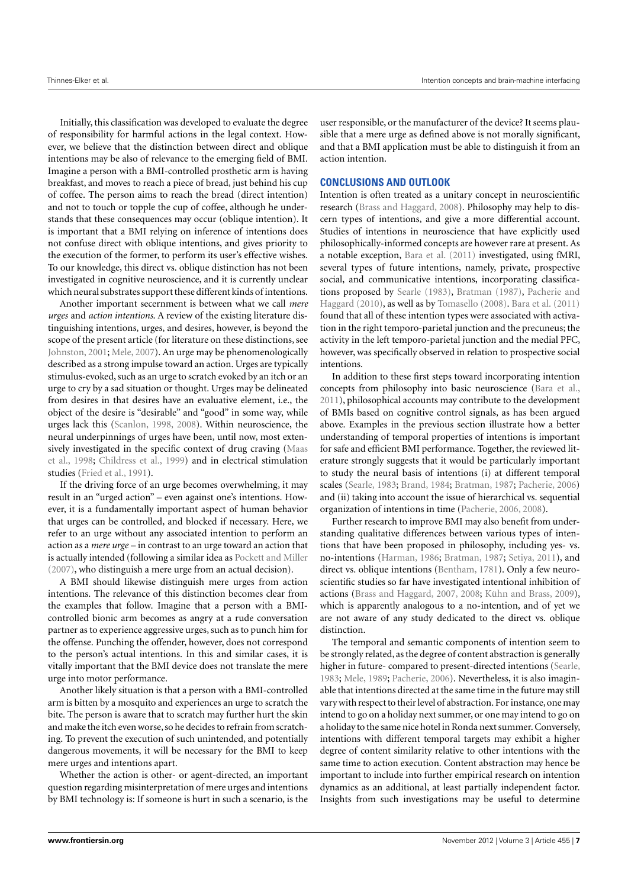Initially, this classification was developed to evaluate the degree of responsibility for harmful actions in the legal context. However, we believe that the distinction between direct and oblique intentions may be also of relevance to the emerging field of BMI. Imagine a person with a BMI-controlled prosthetic arm is having breakfast, and moves to reach a piece of bread, just behind his cup of coffee. The person aims to reach the bread (direct intention) and not to touch or topple the cup of coffee, although he understands that these consequences may occur (oblique intention). It is important that a BMI relying on inference of intentions does not confuse direct with oblique intentions, and gives priority to the execution of the former, to perform its user's effective wishes. To our knowledge, this direct vs. oblique distinction has not been investigated in cognitive neuroscience, and it is currently unclear which neural substrates support these different kinds of intentions.

Another important secernment is between what we call *mere urges* and *action intentions*. A review of the existing literature distinguishing intentions, urges, and desires, however, is beyond the scope of the present article (for literature on these distinctions, see [Johnston,](#page-8-49) [2001;](#page-8-49) [Mele,](#page-8-2) [2007\)](#page-8-2). An urge may be phenomenologically described as a strong impulse toward an action. Urges are typically stimulus-evoked, such as an urge to scratch evoked by an itch or an urge to cry by a sad situation or thought. Urges may be delineated from desires in that desires have an evaluative element, i.e., the object of the desire is "desirable" and "good" in some way, while urges lack this [\(Scanlon,](#page-9-19) [1998,](#page-9-19) [2008\)](#page-9-20). Within neuroscience, the neural underpinnings of urges have been, until now, most extensively investigated in the specific context of drug craving [\(Maas](#page-8-50) [et al.,](#page-8-50) [1998;](#page-8-50) [Childress et al.,](#page-7-34) [1999\)](#page-7-34) and in electrical stimulation studies [\(Fried et al.,](#page-7-25) [1991\)](#page-7-25).

If the driving force of an urge becomes overwhelming, it may result in an "urged action" – even against one's intentions. However, it is a fundamentally important aspect of human behavior that urges can be controlled, and blocked if necessary. Here, we refer to an urge without any associated intention to perform an action as a *mere urge* – in contrast to an urge toward an action that is actually intended (following a similar idea as [Pockett and Miller](#page-9-21) [\(2007\)](#page-9-21), who distinguish a mere urge from an actual decision).

A BMI should likewise distinguish mere urges from action intentions. The relevance of this distinction becomes clear from the examples that follow. Imagine that a person with a BMIcontrolled bionic arm becomes as angry at a rude conversation partner as to experience aggressive urges, such as to punch him for the offense. Punching the offender, however, does not correspond to the person's actual intentions. In this and similar cases, it is vitally important that the BMI device does not translate the mere urge into motor performance.

Another likely situation is that a person with a BMI-controlled arm is bitten by a mosquito and experiences an urge to scratch the bite. The person is aware that to scratch may further hurt the skin and make the itch even worse, so he decides to refrain from scratching. To prevent the execution of such unintended, and potentially dangerous movements, it will be necessary for the BMI to keep mere urges and intentions apart.

Whether the action is other- or agent-directed, an important question regarding misinterpretation of mere urges and intentions by BMI technology is: If someone is hurt in such a scenario, is the user responsible, or the manufacturer of the device? It seems plausible that a mere urge as defined above is not morally significant, and that a BMI application must be able to distinguish it from an action intention.

### **CONCLUSIONS AND OUTLOOK**

Intention is often treated as a unitary concept in neuroscientific research [\(Brass and Haggard,](#page-7-6) [2008\)](#page-7-6). Philosophy may help to discern types of intentions, and give a more differential account. Studies of intentions in neuroscience that have explicitly used philosophically-informed concepts are however rare at present. As a notable exception, [Bara et al.](#page-7-7) [\(2011\)](#page-7-7) investigated, using fMRI, several types of future intentions, namely, private, prospective social, and communicative intentions, incorporating classifications proposed by [Searle](#page-9-1) [\(1983\)](#page-9-1), [Bratman](#page-7-3) [\(1987\)](#page-7-3), [Pacherie and](#page-8-15) [Haggard](#page-8-15) [\(2010\)](#page-8-15), as well as by [Tomasello](#page-9-22) [\(2008\)](#page-9-22). [Bara et al.](#page-7-7) [\(2011\)](#page-7-7) found that all of these intention types were associated with activation in the right temporo-parietal junction and the precuneus; the activity in the left temporo-parietal junction and the medial PFC, however, was specifically observed in relation to prospective social intentions.

In addition to these first steps toward incorporating intention concepts from philosophy into basic neuroscience [\(Bara et al.,](#page-7-7) [2011\)](#page-7-7), philosophical accounts may contribute to the development of BMIs based on cognitive control signals, as has been argued above. Examples in the previous section illustrate how a better understanding of temporal properties of intentions is important for safe and efficient BMI performance. Together, the reviewed literature strongly suggests that it would be particularly important to study the neural basis of intentions (i) at different temporal scales [\(Searle,](#page-9-1) [1983;](#page-9-1) [Brand,](#page-7-33) [1984;](#page-7-33) [Bratman,](#page-7-3) [1987;](#page-7-3) [Pacherie,](#page-8-3) [2006\)](#page-8-3) and (ii) taking into account the issue of hierarchical vs. sequential organization of intentions in time [\(Pacherie,](#page-8-3) [2006,](#page-8-3) [2008\)](#page-8-45).

Further research to improve BMI may also benefit from understanding qualitative differences between various types of intentions that have been proposed in philosophy, including yes- vs. no-intentions [\(Harman,](#page-8-46) [1986;](#page-8-46) [Bratman,](#page-7-3) [1987;](#page-7-3) [Setiya,](#page-9-18) [2011\)](#page-9-18), and direct vs. oblique intentions [\(Bentham,](#page-7-0) [1781\)](#page-7-0). Only a few neuroscientific studies so far have investigated intentional inhibition of actions [\(Brass and Haggard,](#page-7-5) [2007,](#page-7-5) [2008;](#page-7-6) [Kühn and Brass,](#page-8-47) [2009\)](#page-8-47), which is apparently analogous to a no-intention, and of yet we are not aware of any study dedicated to the direct vs. oblique distinction.

The temporal and semantic components of intention seem to be strongly related, as the degree of content abstraction is generally higher in future- compared to present-directed intentions [\(Searle,](#page-9-1) [1983;](#page-9-1) [Mele,](#page-8-51) [1989;](#page-8-51) [Pacherie,](#page-8-3) [2006\)](#page-8-3). Nevertheless, it is also imaginable that intentions directed at the same time in the future may still vary with respect to their level of abstraction. For instance, one may intend to go on a holiday next summer, or one may intend to go on a holiday to the same nice hotel in Ronda next summer. Conversely, intentions with different temporal targets may exhibit a higher degree of content similarity relative to other intentions with the same time to action execution. Content abstraction may hence be important to include into further empirical research on intention dynamics as an additional, at least partially independent factor. Insights from such investigations may be useful to determine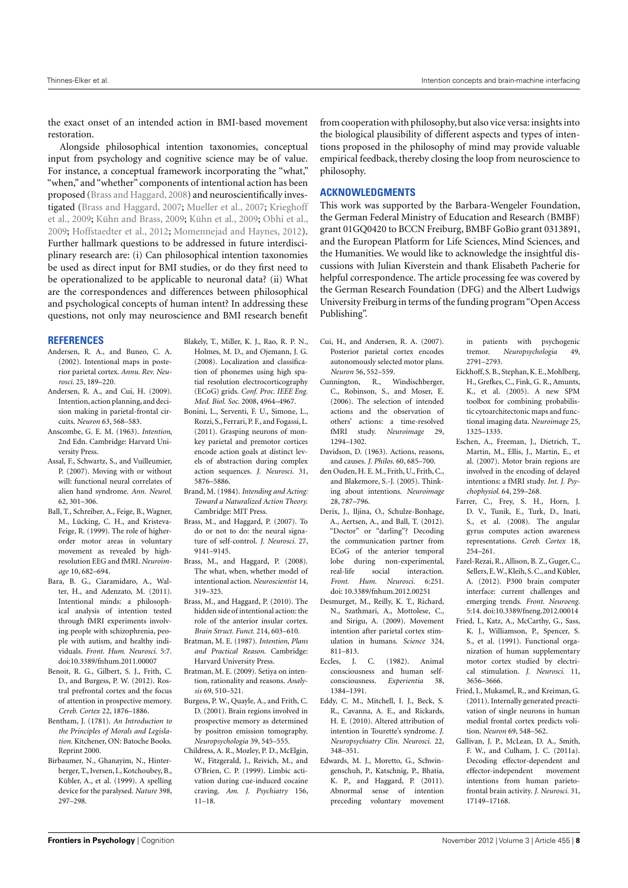the exact onset of an intended action in BMI-based movement restoration.

Alongside philosophical intention taxonomies, conceptual input from psychology and cognitive science may be of value. For instance, a conceptual framework incorporating the "what," "when," and "whether" components of intentional action has been proposed [\(Brass and Haggard,](#page-7-6) [2008\)](#page-7-6) and neuroscientifically investigated [\(Brass and Haggard,](#page-7-5) [2007;](#page-7-5) [Mueller et al.,](#page-8-22) [2007;](#page-8-22) [Krieghoff](#page-8-9) [et al.,](#page-8-9) [2009;](#page-8-9) [Kühn and Brass,](#page-8-47) [2009;](#page-8-47) [Kühn et al.,](#page-8-48) [2009;](#page-8-48) [Obhi et al.,](#page-8-52) [2009;](#page-8-52) [Hoffstaedter et al.,](#page-8-25) [2012;](#page-8-25) [Momennejad and Haynes,](#page-8-20) [2012\)](#page-8-20). Further hallmark questions to be addressed in future interdisciplinary research are: (i) Can philosophical intention taxonomies be used as direct input for BMI studies, or do they first need to be operationalized to be applicable to neuronal data? (ii) What are the correspondences and differences between philosophical and psychological concepts of human intent? In addressing these questions, not only may neuroscience and BMI research benefit

#### **REFERENCES**

- <span id="page-7-11"></span>Andersen, R. A., and Buneo, C. A. (2002). Intentional maps in posterior parietal cortex. *Annu. Rev. Neurosci.* 25, 189–220.
- <span id="page-7-13"></span>Andersen, R. A., and Cui, H. (2009). Intention, action planning, and decision making in parietal-frontal circuits. *Neuron* 63, 568–583.
- <span id="page-7-2"></span>Anscombe, G. E. M. (1963). *Intention*, 2nd Edn. Cambridge: Harvard University Press.
- <span id="page-7-14"></span>Assal, F., Schwartz, S., and Vuilleumier, P. (2007). Moving with or without will: functional neural correlates of alien hand syndrome. *Ann. Neurol.* 62, 301–306.
- <span id="page-7-20"></span>Ball, T., Schreiber, A., Feige, B., Wagner, M., Lücking, C. H., and Kristeva-Feige, R. (1999). The role of higherorder motor areas in voluntary movement as revealed by highresolution EEG and fMRI. *Neuroimage* 10, 682–694.
- <span id="page-7-7"></span>Bara, B. G., Ciaramidaro, A., Walter, H., and Adenzato, M. (2011). Intentional minds: a philosophical analysis of intention tested through fMRI experiments involving people with schizophrenia, people with autism, and healthy individuals. *Front. Hum. Neurosci.* 5:7. doi[:10.3389/fnhum.2011.00007](http://dx.doi.org/10.3389/fnhum.2011.00007)
- <span id="page-7-19"></span>Benoit, R. G., Gilbert, S. J., Frith, C. D., and Burgess, P. W. (2012). Rostral prefrontal cortex and the focus of attention in prospective memory. *Cereb. Cortex* 22, 1876–1886.
- <span id="page-7-0"></span>Bentham, J. (1781). *An Introduction to the Principles of Morals and Legislation.* Kitchener, ON: Batoche Books. Reprint 2000.
- <span id="page-7-29"></span>Birbaumer, N., Ghanayim, N., Hinterberger, T., Iversen, I., Kotchoubey, B., Kübler, A., et al. (1999). A spelling device for the paralysed. *Nature* 398, 297–298.
- <span id="page-7-31"></span>Blakely, T., Miller, K. J., Rao, R. P. N., Holmes, M. D., and Ojemann, J. G. (2008). Localization and classification of phonemes using high spatial resolution electrocorticography (ECoG) grids. *Conf. Proc. IEEE Eng. Med. Biol. Soc.* 2008, 4964–4967.
- <span id="page-7-30"></span>Bonini, L., Serventi, F. U., Simone, L., Rozzi, S., Ferrari, P. F., and Fogassi, L. (2011). Grasping neurons of monkey parietal and premotor cortices encode action goals at distinct levels of abstraction during complex action sequences. *J. Neurosci.* 31, 5876–5886.
- <span id="page-7-33"></span>Brand, M. (1984). *Intending and Acting: Toward a Naturalized Action Theory.* Cambridge: MIT Press.
- <span id="page-7-5"></span>Brass, M., and Haggard, P. (2007). To do or not to do: the neural signature of self-control. *J. Neurosci.* 27, 9141–9145.
- <span id="page-7-6"></span>Brass, M., and Haggard, P. (2008). The what, when, whether model of intentional action. *Neuroscientist* 14, 319–325.
- <span id="page-7-27"></span>Brass, M., and Haggard, P. (2010). The hidden side of intentional action: the role of the anterior insular cortex. *Brain Struct. Funct.* 214, 603–610.
- <span id="page-7-3"></span>Bratman, M. E. (1987). *Intention, Plans and Practical Reason*. Cambridge: Harvard University Press.
- <span id="page-7-4"></span>Bratman, M. E. (2009). Setiya on intention, rationality and reasons. *Analysis* 69, 510–521.
- <span id="page-7-16"></span>Burgess, P. W., Quayle, A., and Frith, C. D. (2001). Brain regions involved in prospective memory as determined by positron emission tomography. *Neuropsychologia* 39, 545–555.
- <span id="page-7-34"></span>Childress, A. R., Mozley, P. D., McElgin, W., Fitzgerald, J., Reivich, M., and O'Brien, C. P. (1999). Limbic activation during cue-induced cocaine craving. *Am. J. Psychiatry* 156, 11–18.

from cooperation with philosophy, but also vice versa: insights into the biological plausibility of different aspects and types of intentions proposed in the philosophy of mind may provide valuable empirical feedback, thereby closing the loop from neuroscience to philosophy.

#### **ACKNOWLEDGMENTS**

This work was supported by the Barbara-Wengeler Foundation, the German Federal Ministry of Education and Research (BMBF) grant 01GQ0420 to BCCN Freiburg, BMBF GoBio grant 0313891, and the European Platform for Life Sciences, Mind Sciences, and the Humanities. We would like to acknowledge the insightful discussions with Julian Kiverstein and thank Elisabeth Pacherie for helpful correspondence. The article processing fee was covered by the German Research Foundation (DFG) and the Albert Ludwigs University Freiburg in terms of the funding program "Open Access Publishing".

- <span id="page-7-12"></span>Cui, H., and Andersen, R. A. (2007). Posterior parietal cortex encodes autonomously selected motor plans. *Neuron* 56, 552–559.
- <span id="page-7-23"></span>Cunnington, R., Windischberger, C., Robinson, S., and Moser, E. (2006). The selection of intended actions and the observation of others' actions: a time-resolved fMRI study. *Neuroimage* 29, 1294–1302.
- <span id="page-7-1"></span>Davidson, D. (1963). Actions, reasons, and causes. *J. Philos.* 60, 685–700.
- <span id="page-7-17"></span>den Ouden, H. E. M., Frith, U., Frith, C., and Blakemore, S.-J. (2005). Thinking about intentions. *Neuroimage* 28, 787–796.
- <span id="page-7-32"></span>Derix, J., Iljina, O., Schulze-Bonhage, A., Aertsen, A., and Ball, T. (2012). "Doctor" or "darling"? Decoding the communication partner from ECoG of the anterior temporal lobe during non-experimental, real-life social interaction. *Front. Hum. Neurosci.* 6:251. doi: 10.3389/fnhum.2012.00251
- <span id="page-7-15"></span>Desmurget, M., Reilly, K. T., Richard, N., Szathmari, A., Mottolese, C., and Sirigu, A. (2009). Movement intention after parietal cortex stimulation in humans. *Science* 324, 811–813.
- <span id="page-7-24"></span>Eccles, J. C. (1982). Animal consciousness and human selfconsciousness. *Experientia* 38, 1384–1391.
- <span id="page-7-8"></span>Eddy, C. M., Mitchell, I. J., Beck, S. R., Cavanna, A. E., and Rickards, H. E. (2010). Altered attribution of intention in Tourette's syndrome. *J. Neuropsychiatry Clin. Neurosci.* 22, 348–351.
- <span id="page-7-9"></span>Edwards, M. J., Moretto, G., Schwingenschuh, P., Katschnig, P., Bhatia, K. P., and Haggard, P. (2011). Abnormal sense of intention preceding voluntary movement

in patients with psychogenic tremor. *Neuropsychologia* 49, 2791–2793.

- <span id="page-7-28"></span>Eickhoff, S. B., Stephan, K. E., Mohlberg, H., Grefkes, C., Fink, G. R., Amunts, K., et al. (2005). A new SPM toolbox for combining probabilistic cytoarchitectonic maps and functional imaging data. *Neuroimage* 25, 1325–1335.
- <span id="page-7-18"></span>Eschen, A., Freeman, J., Dietrich, T., Martin, M., Ellis, J., Martin, E., et. al. (2007). Motor brain regions are involved in the encoding of delayed intentions: a fMRI study. *Int. J. Psychophysiol.* 64, 259–268.
- <span id="page-7-21"></span>Farrer, C., Frey, S. H., Horn, J. D. V., Tunik, E., Turk, D., Inati, S., et al. (2008). The angular gyrus computes action awareness representations. *Cereb. Cortex* 18, 254–261.
- <span id="page-7-10"></span>Fazel-Rezai, R., Allison, B. Z., Guger, C., Sellers, E.W.,Kleih,S. C., and Kübler, A. (2012). P300 brain computer interface: current challenges and emerging trends. *Front. Neuroeng.* 5:14. doi[:10.3389/fneng.2012.00014](http://dx.doi.org/10.3389/fneng.2012.00014)
- <span id="page-7-25"></span>Fried, I., Katz, A., McCarthy, G., Sass, K. J., Williamson, P., Spencer, S. S., et al. (1991). Functional organization of human supplementary motor cortex studied by electrical stimulation. *J. Neurosci.* 11, 3656–3666.
- <span id="page-7-26"></span>Fried, I., Mukamel, R., and Kreiman, G. (2011). Internally generated preactivation of single neurons in human medial frontal cortex predicts volition. *Neuron* 69, 548–562.
- <span id="page-7-22"></span>Gallivan, J. P., McLean, D. A., Smith, F. W., and Culham, J. C. (2011a). Decoding effector-dependent and effector-independent movement intentions from human parietofrontal brain activity. *J. Neurosci.* 31, 17149–17168.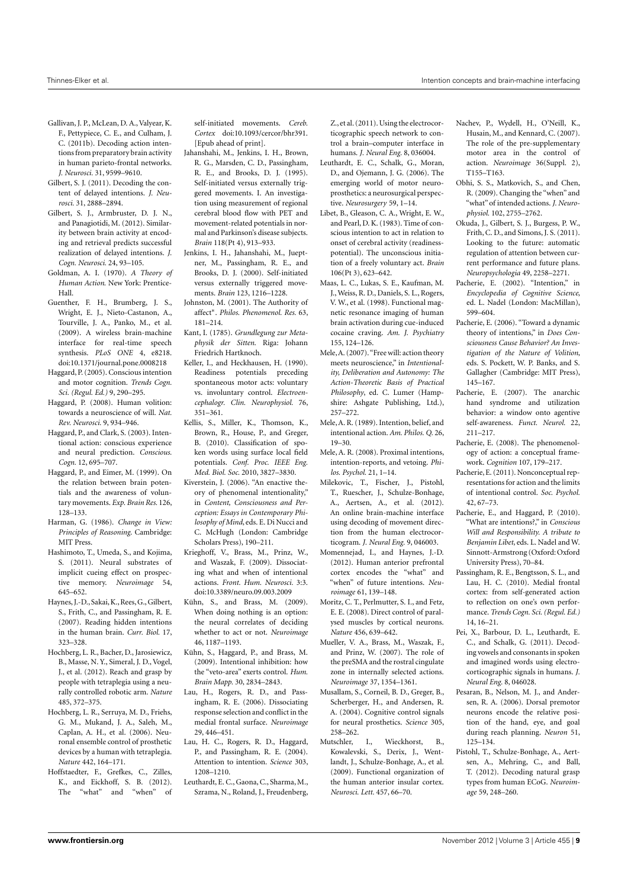- <span id="page-8-21"></span>Gallivan, J. P., McLean, D. A., Valyear, K. F., Pettypiece, C. E., and Culham, J. C. (2011b). Decoding action intentions from preparatory brain activity in human parieto-frontal networks. *J. Neurosci.* 31, 9599–9610.
- <span id="page-8-19"></span>Gilbert, S. J. (2011). Decoding the content of delayed intentions. *J. Neurosci.* 31, 2888–2894.
- <span id="page-8-32"></span>Gilbert, S. J., Armbruster, D. J. N., and Panagiotidi, M. (2012). Similarity between brain activity at encoding and retrieval predicts successful realization of delayed intentions. *J. Cogn. Neurosci.* 24, 93–105.
- <span id="page-8-4"></span>Goldman, A. I. (1970). *A Theory of Human Action*. New York: Prentice-Hall.
- <span id="page-8-36"></span>Guenther, F. H., Brumberg, J. S., Wright, E. J., Nieto-Castanon, A., Tourville, J. A., Panko, M., et al. (2009). A wireless brain-machine interface for real-time speech synthesis. *PLoS ONE* 4, e8218. doi:10.1371/journal.pone.0008218
- <span id="page-8-13"></span>Haggard, P. (2005). Conscious intention and motor cognition. *Trends Cogn. Sci. (Regul. Ed.)* 9, 290–295.
- <span id="page-8-10"></span>Haggard, P. (2008). Human volition: towards a neuroscience of will. *Nat. Rev. Neurosci.* 9, 934–946.
- <span id="page-8-11"></span>Haggard, P., and Clark, S. (2003). Intentional action: conscious experience and neural prediction. *Conscious. Cogn.* 12, 695–707.
- <span id="page-8-18"></span>Haggard, P., and Eimer, M. (1999). On the relation between brain potentials and the awareness of voluntary movements. *Exp. Brain Res.* 126, 128–133.
- <span id="page-8-46"></span>Harman, G. (1986). *Change in View: Principles of Reasoning*. Cambridge: MIT Press.
- <span id="page-8-30"></span>Hashimoto, T., Umeda, S., and Kojima, S. (2011). Neural substrates of implicit cueing effect on prospective memory. *Neuroimage* 54, 645–652.
- <span id="page-8-8"></span>Haynes, J.-D., Sakai, K., Rees, G., Gilbert, S., Frith, C., and Passingham, R. E. (2007). Reading hidden intentions in the human brain. *Curr. Biol.* 17, 323–328.
- <span id="page-8-35"></span>Hochberg, L. R., Bacher, D., Jarosiewicz, B., Masse, N. Y., Simeral, J. D., Vogel, J., et al. (2012). Reach and grasp by people with tetraplegia using a neurally controlled robotic arm. *Nature* 485, 372–375.
- <span id="page-8-34"></span>Hochberg, L. R., Serruya, M. D., Friehs, G. M., Mukand, J. A., Saleh, M., Caplan, A. H., et al. (2006). Neuronal ensemble control of prosthetic devices by a human with tetraplegia. *Nature* 442, 164–171.
- <span id="page-8-25"></span>Hoffstaedter, F., Grefkes, C., Zilles, K., and Eickhoff, S. B. (2012). The "what" and "when" of

self-initiated movements. *Cereb. Cortex* doi:10.1093/cercor/bhr391. [Epub ahead of print].

- <span id="page-8-23"></span>Jahanshahi, M., Jenkins, I. H., Brown, R. G., Marsden, C. D., Passingham, R. E., and Brooks, D. J. (1995). Self-initiated versus externally triggered movements. I. An investigation using measurement of regional cerebral blood flow with PET and movement-related potentials in normal and Parkinson's disease subjects. *Brain* 118(Pt 4), 913–933.
- <span id="page-8-24"></span>Jenkins, I. H., Jahanshahi, M., Jueptner, M., Passingham, R. E., and Brooks, D. J. (2000). Self-initiated versus externally triggered movements. *Brain* 123, 1216–1228.
- <span id="page-8-49"></span>Johnston, M. (2001). The Authority of affect∗. *Philos. Phenomenol. Res.* 63, 181–214.
- <span id="page-8-0"></span>Kant, I. (1785). *Grundlegung zur Metaphysik der Sitten*. Riga: Johann Friedrich Hartknoch.
- <span id="page-8-17"></span>Keller, I., and Heckhausen, H. (1990). Readiness potentials preceding spontaneous motor acts: voluntary vs. involuntary control. *Electroencephalogr. Clin. Neurophysiol.* 76, 351–361.
- <span id="page-8-43"></span>Kellis, S., Miller, K., Thomson, K., Brown, R., House, P., and Greger, B. (2010). Classification of spoken words using surface local field potentials. *Conf. Proc. IEEE Eng. Med. Biol. Soc.* 2010, 3827–3830.
- <span id="page-8-1"></span>Kiverstein, J. (2006). "An enactive theory of phenomenal intentionality," in *Content, Consciousness and Perception: Essays in Contemporary Philosophy of Mind*, eds. E. Di Nucci and C. McHugh (London: Cambridge Scholars Press), 190–211.
- <span id="page-8-9"></span>Krieghoff, V., Brass, M., Prinz, W., and Waszak, F. (2009). Dissociating what and when of intentional actions. *Front. Hum. Neurosci.* 3:3. doi[:10.3389/neuro.09.003.2009](http://dx.doi.org/10.3389/neuro.09.003.2009)
- <span id="page-8-47"></span>Kühn, S., and Brass, M. (2009). When doing nothing is an option: the neural correlates of deciding whether to act or not. *Neuroimage* 46, 1187–1193.
- <span id="page-8-48"></span>Kühn, S., Haggard, P., and Brass, M. (2009). Intentional inhibition: how the "veto-area" exerts control. *Hum. Brain Mapp.* 30, 2834–2843.
- <span id="page-8-26"></span>Lau, H., Rogers, R. D., and Passingham, R. E. (2006). Dissociating response selection and conflict in the medial frontal surface. *Neuroimage* 29, 446–451.
- <span id="page-8-7"></span>Lau, H. C., Rogers, R. D., Haggard, P., and Passingham, R. E. (2004). Attention to intention. *Science* 303, 1208–1210.
- <span id="page-8-44"></span>Leuthardt, E. C., Gaona, C., Sharma, M., Szrama, N., Roland, J., Freudenberg,

Z., et al. (2011). Using the electrocorticographic speech network to control a brain–computer interface in humans. *J. Neural Eng.* 8, 036004.

- <span id="page-8-40"></span>Leuthardt, E. C., Schalk, G., Moran, D., and Ojemann, J. G. (2006). The emerging world of motor neuroprosthetics: a neurosurgical perspective. *Neurosurgery* 59, 1–14.
- <span id="page-8-6"></span>Libet, B., Gleason, C. A., Wright, E. W., and Pearl, D. K. (1983). Time of conscious intention to act in relation to onset of cerebral activity (readinesspotential). The unconscious initiation of a freely voluntary act. *Brain* 106(Pt 3), 623–642.
- <span id="page-8-50"></span>Maas, L. C., Lukas, S. E., Kaufman, M. J.,Weiss, R. D., Daniels, S. L., Rogers, V. W., et al. (1998). Functional magnetic resonance imaging of human brain activation during cue-induced cocaine craving. *Am. J. Psychiatry* 155, 124–126.
- <span id="page-8-2"></span>Mele,A. (2007)."Free will: action theory meets neuroscience," in *Intentionality, Deliberation and Autonomy: The Action-Theoretic Basis of Practical Philosophy*, ed. C. Lumer (Hampshire: Ashgate Publishing, Ltd.), 257–272.
- <span id="page-8-51"></span>Mele,A. R. (1989). Intention, belief, and intentional action. *Am. Philos. Q.* 26, 19–30.
- <span id="page-8-14"></span>Mele, A. R. (2008). Proximal intentions, intention-reports, and vetoing. *Philos. Psychol.* 21, 1–14.
- <span id="page-8-41"></span>Milekovic, T., Fischer, J., Pistohl, T., Ruescher, J., Schulze-Bonhage, A., Aertsen, A., et al. (2012). An online brain-machine interface using decoding of movement direction from the human electrocorticogram. *J. Neural Eng.* 9, 046003.
- <span id="page-8-20"></span>Momennejad, I., and Haynes, J.-D. (2012). Human anterior prefrontal cortex encodes the "what" and "when" of future intentions. *Neuroimage* 61, 139–148.
- <span id="page-8-38"></span>Moritz, C. T., Perlmutter, S. I., and Fetz, E. E. (2008). Direct control of paralysed muscles by cortical neurons. *Nature* 456, 639–642.
- <span id="page-8-22"></span>Mueller, V. A., Brass, M., Waszak, F., and Prinz, W. (2007). The role of the preSMA and the rostral cingulate zone in internally selected actions. *Neuroimage* 37, 1354–1361.
- <span id="page-8-37"></span>Musallam, S., Corneil, B. D., Greger, B., Scherberger, H., and Andersen, R. A. (2004). Cognitive control signals for neural prosthetics. *Science* 305, 258–262.
- <span id="page-8-33"></span>Mutschler, I., Wieckhorst, B., Kowalevski, S., Derix, J., Wentlandt, J., Schulze-Bonhage, A., et al. (2009). Functional organization of the human anterior insular cortex. *Neurosci. Lett.* 457, 66–70.
- <span id="page-8-27"></span>Nachev, P., Wydell, H., O'Neill, K., Husain, M., and Kennard, C. (2007). The role of the pre-supplementary motor area in the control of action. *Neuroimage* 36(Suppl. 2), T155–T163.
- <span id="page-8-52"></span>Obhi, S. S., Matkovich, S., and Chen, R. (2009). Changing the "when" and "what" of intended actions. *J. Neurophysiol.* 102, 2755–2762.
- <span id="page-8-31"></span>Okuda, J., Gilbert, S. J., Burgess, P. W., Frith, C. D., and Simons, J. S. (2011). Looking to the future: automatic regulation of attention between current performance and future plans. *Neuropsychologia* 49, 2258–2271.
- <span id="page-8-5"></span>Pacherie, E. (2002). "Intention," in *Encyclopedia of Cognitive Science*, ed. L. Nadel (London: MacMillan), 599–604.
- <span id="page-8-3"></span>Pacherie, E. (2006). "Toward a dynamic theory of intentions," in *Does Consciousness Cause Behavior? An Investigation of the Nature of Volition*, eds. S. Pockett, W. P. Banks, and S. Gallagher (Cambridge: MIT Press), 145–167.
- <span id="page-8-12"></span>Pacherie, E. (2007). The anarchic hand syndrome and utilization behavior: a window onto agentive self-awareness. *Funct. Neurol.* 22, 211–217.
- <span id="page-8-45"></span>Pacherie, E. (2008). The phenomenology of action: a conceptual framework. *Cognition* 107, 179–217.
- <span id="page-8-16"></span>Pacherie, E. (2011). Nonconceptual representations for action and the limits of intentional control. *Soc. Psychol.* 42, 67–73.
- <span id="page-8-15"></span>Pacherie, E., and Haggard, P. (2010). "What are intentions?," in *Conscious Will and Responsibility. A tribute to Benjamin Libet*, eds. L. Nadel and W. Sinnott-Armstrong (Oxford: Oxford University Press), 70–84.
- <span id="page-8-29"></span>Passingham, R. E., Bengtsson, S. L., and Lau, H. C. (2010). Medial frontal cortex: from self-generated action to reflection on one's own performance. *Trends Cogn. Sci. (Regul. Ed.)* 14, 16–21.
- <span id="page-8-42"></span>Pei, X., Barbour, D. L., Leuthardt, E. C., and Schalk, G. (2011). Decoding vowels and consonants in spoken and imagined words using electrocorticographic signals in humans. *J. Neural Eng.* 8, 046028.
- <span id="page-8-28"></span>Pesaran, B., Nelson, M. J., and Andersen, R. A. (2006). Dorsal premotor neurons encode the relative position of the hand, eye, and goal during reach planning. *Neuron* 51, 125–134.
- <span id="page-8-39"></span>Pistohl, T., Schulze-Bonhage, A., Aertsen, A., Mehring, C., and Ball, T. (2012). Decoding natural grasp types from human ECoG. *Neuroimage* 59, 248–260.